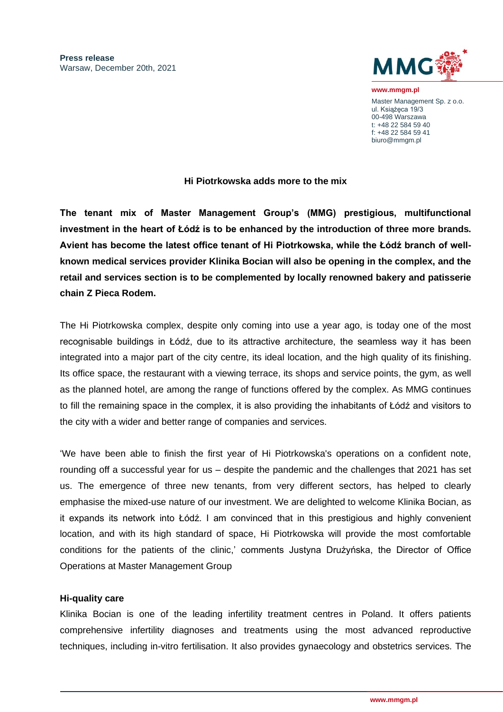

**www.mmgm.pl** Master Management Sp. z o.o. ul. Książęca 19/3 00-498 Warszawa t: +48 22 584 59 40 f: +48 22 584 59 41 biuro@mmgm.pl

# **Hi Piotrkowska adds more to the mix**

**The tenant mix of Master Management Group's (MMG) prestigious, multifunctional investment in the heart of Łódź is to be enhanced by the introduction of three more brands. Avient has become the latest office tenant of Hi Piotrkowska, while the Łódź branch of wellknown medical services provider Klinika Bocian will also be opening in the complex, and the retail and services section is to be complemented by locally renowned bakery and patisserie chain Z Pieca Rodem.**

The Hi Piotrkowska complex, despite only coming into use a year ago, is today one of the most recognisable buildings in Łódź, due to its attractive architecture, the seamless way it has been integrated into a major part of the city centre, its ideal location, and the high quality of its finishing. Its office space, the restaurant with a viewing terrace, its shops and service points, the gym, as well as the planned hotel, are among the range of functions offered by the complex. As MMG continues to fill the remaining space in the complex, it is also providing the inhabitants of Łódź and visitors to the city with a wider and better range of companies and services.

'We have been able to finish the first year of Hi Piotrkowska's operations on a confident note, rounding off a successful year for us – despite the pandemic and the challenges that 2021 has set us. The emergence of three new tenants, from very different sectors, has helped to clearly emphasise the mixed-use nature of our investment. We are delighted to welcome Klinika Bocian, as it expands its network into Łódź. I am convinced that in this prestigious and highly convenient location, and with its high standard of space, Hi Piotrkowska will provide the most comfortable conditions for the patients of the clinic,' comments Justyna Drużyńska, the Director of Office Operations at Master Management Group

## **Hi-quality care**

Klinika Bocian is one of the leading infertility treatment centres in Poland. It offers patients comprehensive infertility diagnoses and treatments using the most advanced reproductive techniques, including in-vitro fertilisation. It also provides gynaecology and obstetrics services. The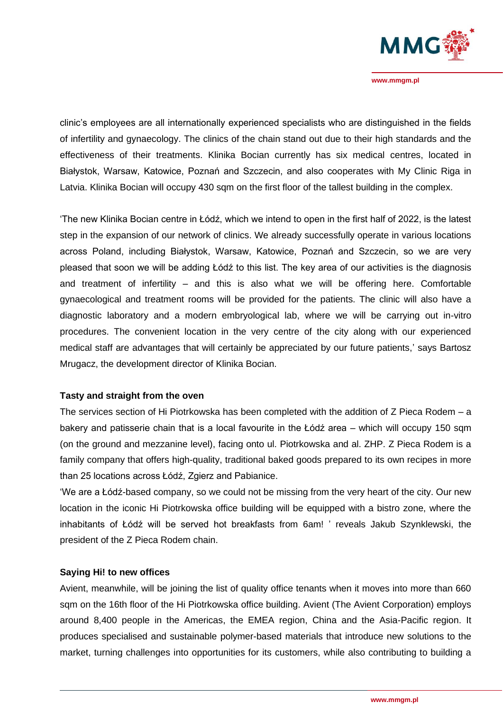

**www.mmgm.pl**

clinic's employees are all internationally experienced specialists who are distinguished in the fields of infertility and gynaecology. The clinics of the chain stand out due to their high standards and the effectiveness of their treatments. Klinika Bocian currently has six medical centres, located in Białystok, Warsaw, Katowice, Poznań and Szczecin, and also cooperates with My Clinic Riga in Latvia. Klinika Bocian will occupy 430 sqm on the first floor of the tallest building in the complex.

'The new Klinika Bocian centre in Łódź, which we intend to open in the first half of 2022, is the latest step in the expansion of our network of clinics. We already successfully operate in various locations across Poland, including Białystok, Warsaw, Katowice, Poznań and Szczecin, so we are very pleased that soon we will be adding Łódź to this list. The key area of our activities is the diagnosis and treatment of infertility – and this is also what we will be offering here. Comfortable gynaecological and treatment rooms will be provided for the patients. The clinic will also have a diagnostic laboratory and a modern embryological lab, where we will be carrying out in-vitro procedures. The convenient location in the very centre of the city along with our experienced medical staff are advantages that will certainly be appreciated by our future patients,' says Bartosz Mrugacz, the development director of Klinika Bocian.

## **Tasty and straight from the oven**

The services section of Hi Piotrkowska has been completed with the addition of Z Pieca Rodem – a bakery and patisserie chain that is a local favourite in the Łódź area – which will occupy 150 sqm (on the ground and mezzanine level), facing onto ul. Piotrkowska and al. ZHP. Z Pieca Rodem is a family company that offers high-quality, traditional baked goods prepared to its own recipes in more than 25 locations across Łódź, Zgierz and Pabianice.

'We are a Łódź-based company, so we could not be missing from the very heart of the city. Our new location in the iconic Hi Piotrkowska office building will be equipped with a bistro zone, where the inhabitants of Łódź will be served hot breakfasts from 6am! ' reveals Jakub Szynklewski, the president of the Z Pieca Rodem chain.

## **Saying Hi! to new offices**

Avient, meanwhile, will be joining the list of quality office tenants when it moves into more than 660 sqm on the 16th floor of the Hi Piotrkowska office building. Avient (The Avient Corporation) employs around 8,400 people in the Americas, the EMEA region, China and the Asia-Pacific region. It produces specialised and sustainable polymer-based materials that introduce new solutions to the market, turning challenges into opportunities for its customers, while also contributing to building a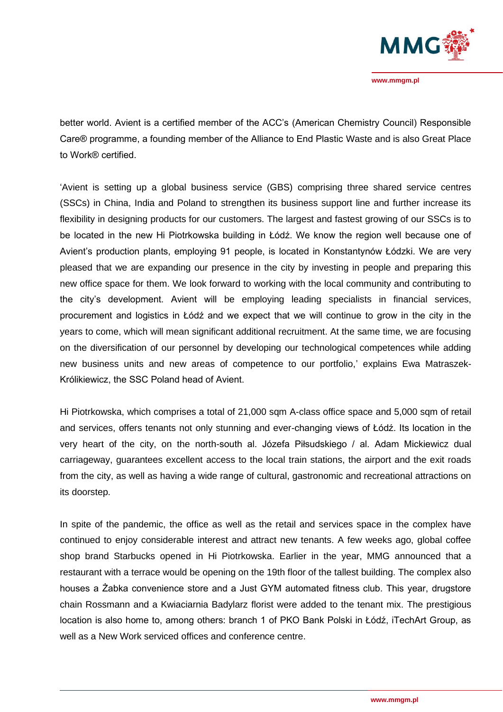

better world. Avient is a certified member of the ACC's (American Chemistry Council) Responsible Care® programme, a founding member of the Alliance to End Plastic Waste and is also Great Place to Work® certified.

'Avient is setting up a global business service (GBS) comprising three shared service centres (SSCs) in China, India and Poland to strengthen its business support line and further increase its flexibility in designing products for our customers. The largest and fastest growing of our SSCs is to be located in the new Hi Piotrkowska building in Łódź. We know the region well because one of Avient's production plants, employing 91 people, is located in Konstantynów Łódzki. We are very pleased that we are expanding our presence in the city by investing in people and preparing this new office space for them. We look forward to working with the local community and contributing to the city's development. Avient will be employing leading specialists in financial services, procurement and logistics in Łódź and we expect that we will continue to grow in the city in the years to come, which will mean significant additional recruitment. At the same time, we are focusing on the diversification of our personnel by developing our technological competences while adding new business units and new areas of competence to our portfolio,' explains Ewa Matraszek-Królikiewicz, the SSC Poland head of Avient.

Hi Piotrkowska, which comprises a total of 21,000 sqm A-class office space and 5,000 sqm of retail and services, offers tenants not only stunning and ever-changing views of Łódź. Its location in the very heart of the city, on the north-south al. Józefa Piłsudskiego / al. Adam Mickiewicz dual carriageway, guarantees excellent access to the local train stations, the airport and the exit roads from the city, as well as having a wide range of cultural, gastronomic and recreational attractions on its doorstep.

In spite of the pandemic, the office as well as the retail and services space in the complex have continued to enjoy considerable interest and attract new tenants. A few weeks ago, global coffee shop brand Starbucks opened in Hi Piotrkowska. Earlier in the year, MMG announced that a restaurant with a terrace would be opening on the 19th floor of the tallest building. The complex also houses a Żabka convenience store and a Just GYM automated fitness club. This year, drugstore chain Rossmann and a Kwiaciarnia Badylarz florist were added to the tenant mix. The prestigious location is also home to, among others: branch 1 of PKO Bank Polski in Łódź, iTechArt Group, as well as a New Work serviced offices and conference centre.